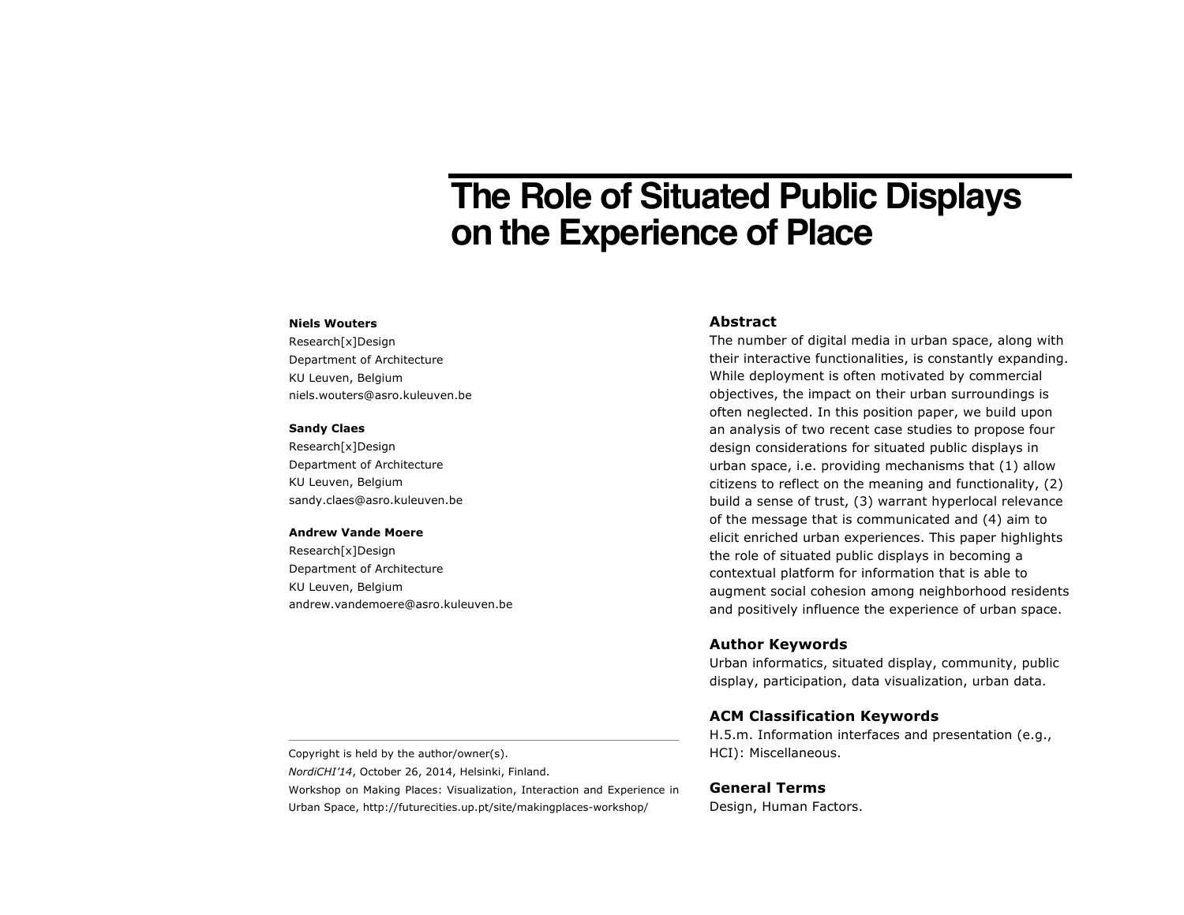# **The Role of Situated Public Displays on the Experience of Place**

### **Niels Wouters**

Research[x]Design Department of Architecture KU Leuven, Belgium niels.wouters@asro.kuleuven.be

#### **Sandy Claes**

Research[x]Design Department of Architecture KU Leuven, Belgium sandy.claes@asro.kuleuven.be

#### **Andrew Vande Moere**

Research[x]Design Department of Architecture KU Leuven, Belgium andrew.vandemoere@asro.kuleuven.be

# **Abstract**

The number of digital media in urban space, along with their interactive functionalities, is constantly expanding. While deployment is often motivated by commercial objectives, the impact on their urban surroundings is often neglected. In this position paper, we build upon an analysis of two recent case studies to propose four design considerations for situated public displays in urban space, i.e. providing mechanisms that (1) allow citizens to reflect on the meaning and functionality, (2) build a sense of trust, (3) warrant hyperlocal relevance of the message that is communicated and (4) aim to elicit enriched urban experiences. This paper highlights the role of situated public displays in becoming a contextual platform for information that is able to augment social cohesion among neighborhood residents and positively influence the experience of urban space.

## **Author Keywords**

Urban informatics, situated display, community, public display, participation, data visualization, urban data.

## **ACM Classification Keywords**

H.5.m. Information interfaces and presentation (e.g., HCI): Miscellaneous.

Copyright is held by the author/owner(s).

*NordiCHI'14*, October 26, 2014, Helsinki, Finland.

Workshop on Making Places: Visualization, Interaction and Experience in Urban Space, http://futurecities.up.pt/site/makingplaces-workshop/

# **General Terms**

Design, Human Factors.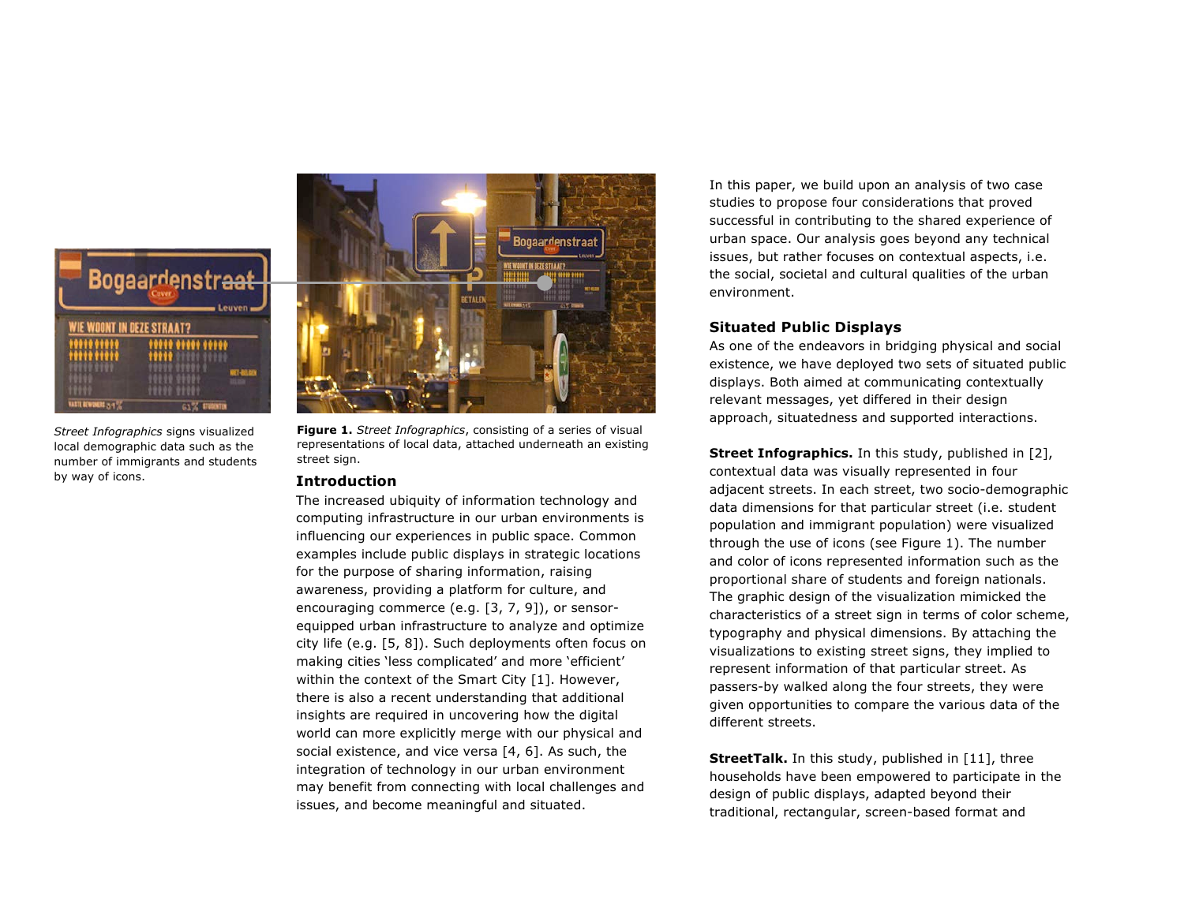

*Street Infographics* signs visualized local demographic data such as the number of immigrants and students by way of icons.



**Figure 1.** *Street Infographics*, consisting of a series of visual representations of local data, attached underneath an existing street sign.

## **Introduction**

The increased ubiquity of information technology and computing infrastructure in our urban environments is influencing our experiences in public space. Common examples include public displays in strategic locations for the purpose of sharing information, raising awareness, providing a platform for culture, and encouraging commerce (e.g. [3, 7, 9]), or sensorequipped urban infrastructure to analyze and optimize city life (e.g. [5, 8]). Such deployments often focus on making cities 'less complicated' and more 'efficient' within the context of the Smart City [1]. However, there is also a recent understanding that additional insights are required in uncovering how the digital world can more explicitly merge with our physical and social existence, and vice versa [4, 6]. As such, the integration of technology in our urban environment may benefit from connecting with local challenges and issues, and become meaningful and situated.

In this paper, we build upon an analysis of two case studies to propose four considerations that proved successful in contributing to the shared experience of urban space. Our analysis goes beyond any technical issues, but rather focuses on contextual aspects, i.e. the social, societal and cultural qualities of the urban environment.

# **Situated Public Displays**

As one of the endeavors in bridging physical and social existence, we have deployed two sets of situated public displays. Both aimed at communicating contextually relevant messages, yet differed in their design approach, situatedness and supported interactions.

**Street Infographics.** In this study, published in [2], contextual data was visually represented in four adjacent streets. In each street, two socio-demographic data dimensions for that particular street (i.e. student population and immigrant population) were visualized through the use of icons (see Figure 1). The number and color of icons represented information such as the proportional share of students and foreign nationals. The graphic design of the visualization mimicked the characteristics of a street sign in terms of color scheme, typography and physical dimensions. By attaching the visualizations to existing street signs, they implied to represent information of that particular street. As passers-by walked along the four streets, they were given opportunities to compare the various data of the different streets.

**StreetTalk.** In this study, published in [11], three households have been empowered to participate in the design of public displays, adapted beyond their traditional, rectangular, screen-based format and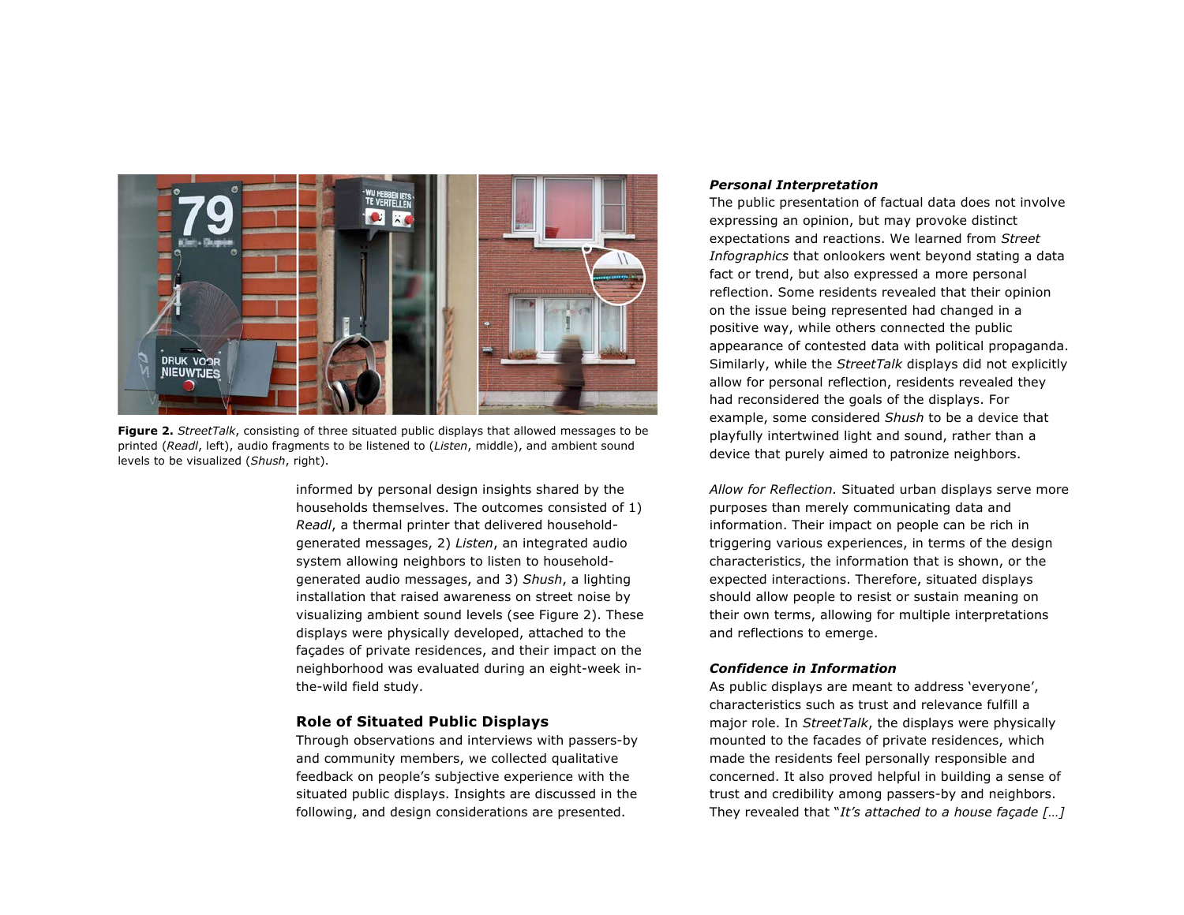

**Figure 2.** *StreetTalk*, consisting of three situated public displays that allowed messages to be printed (*Readl*, left), audio fragments to be listened to (*Listen*, middle), and ambient sound levels to be visualized (*Shush*, right).

informed by personal design insights shared by the households themselves. The outcomes consisted of 1) *Readl*, a thermal printer that delivered householdgenerated messages, 2) *Listen*, an integrated audio system allowing neighbors to listen to householdgenerated audio messages, and 3) *Shush*, a lighting installation that raised awareness on street noise by visualizing ambient sound levels (see Figure 2). These displays were physically developed, attached to the façades of private residences, and their impact on the neighborhood was evaluated during an eight-week inthe-wild field study.

# **Role of Situated Public Displays**

Through observations and interviews with passers-by and community members, we collected qualitative feedback on people's subjective experience with the situated public displays. Insights are discussed in the following, and design considerations are presented.

# *Personal Interpretation*

The public presentation of factual data does not involve expressing an opinion, but may provoke distinct expectations and reactions. We learned from *Street Infographics* that onlookers went beyond stating a data fact or trend, but also expressed a more personal reflection. Some residents revealed that their opinion on the issue being represented had changed in a positive way, while others connected the public appearance of contested data with political propaganda. Similarly, while the *StreetTalk* displays did not explicitly allow for personal reflection, residents revealed they had reconsidered the goals of the displays. For example, some considered *Shush* to be a device that playfully intertwined light and sound, rather than a device that purely aimed to patronize neighbors.

*Allow for Reflection.* Situated urban displays serve more purposes than merely communicating data and information. Their impact on people can be rich in triggering various experiences, in terms of the design characteristics, the information that is shown, or the expected interactions. Therefore, situated displays should allow people to resist or sustain meaning on their own terms, allowing for multiple interpretations and reflections to emerge.

# *Confidence in Information*

As public displays are meant to address 'everyone', characteristics such as trust and relevance fulfill a major role. In *StreetTalk*, the displays were physically mounted to the facades of private residences, which made the residents feel personally responsible and concerned. It also proved helpful in building a sense of trust and credibility among passers-by and neighbors. They revealed that "*It's attached to a house façade […]*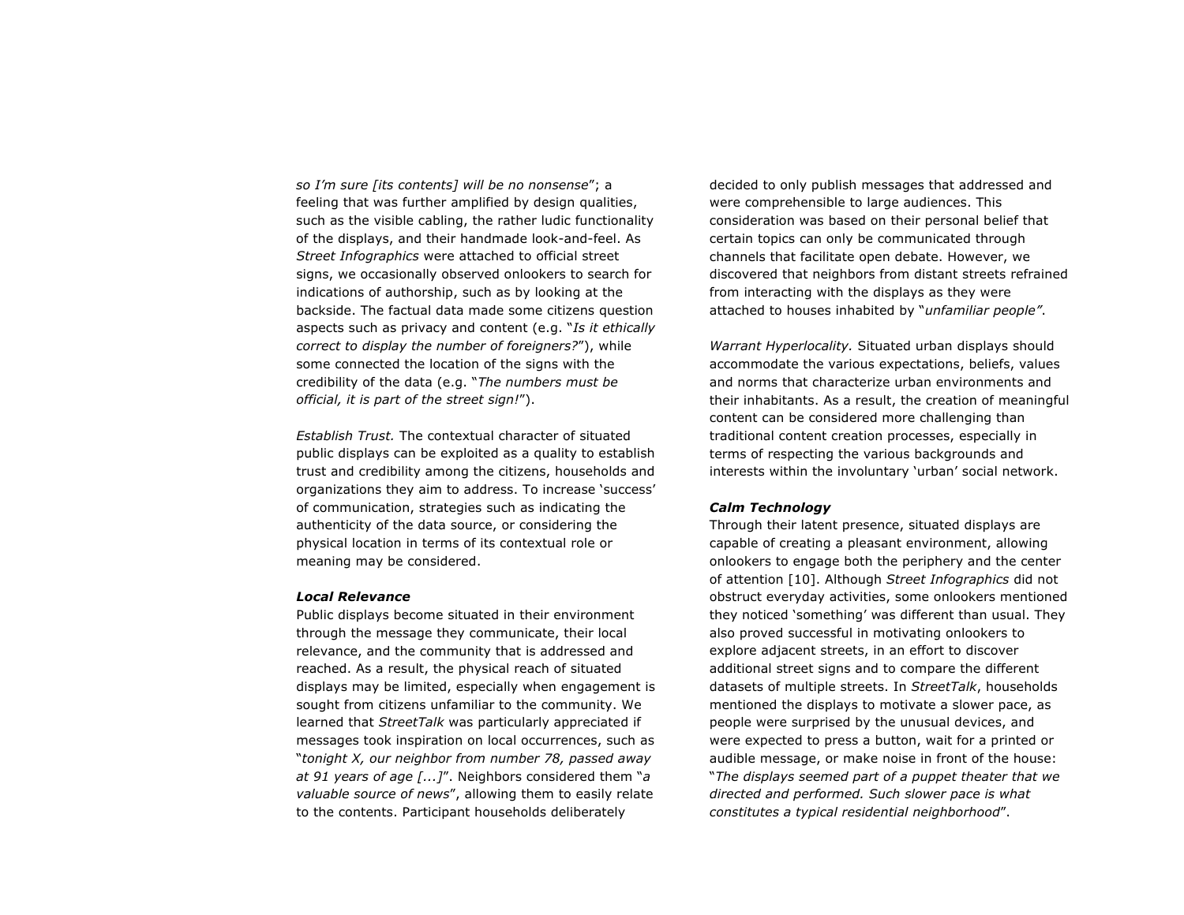*so I'm sure [its contents] will be no nonsense*"; a feeling that was further amplified by design qualities, such as the visible cabling, the rather ludic functionality of the displays, and their handmade look-and-feel. As *Street Infographics* were attached to official street signs, we occasionally observed onlookers to search for indications of authorship, such as by looking at the backside. The factual data made some citizens question aspects such as privacy and content (e.g. "*Is it ethically correct to display the number of foreigners?*"), while some connected the location of the signs with the credibility of the data (e.g. "*The numbers must be official, it is part of the street sign!*").

*Establish Trust.* The contextual character of situated public displays can be exploited as a quality to establish trust and credibility among the citizens, households and organizations they aim to address. To increase 'success' of communication, strategies such as indicating the authenticity of the data source, or considering the physical location in terms of its contextual role or meaning may be considered.

## *Local Relevance*

Public displays become situated in their environment through the message they communicate, their local relevance, and the community that is addressed and reached. As a result, the physical reach of situated displays may be limited, especially when engagement is sought from citizens unfamiliar to the community. We learned that *StreetTalk* was particularly appreciated if messages took inspiration on local occurrences, such as "*tonight X, our neighbor from number 78, passed away at 91 years of age [...]*". Neighbors considered them "*a valuable source of news*", allowing them to easily relate to the contents. Participant households deliberately

decided to only publish messages that addressed and were comprehensible to large audiences. This consideration was based on their personal belief that certain topics can only be communicated through channels that facilitate open debate. However, we discovered that neighbors from distant streets refrained from interacting with the displays as they were attached to houses inhabited by "*unfamiliar people"*.

*Warrant Hyperlocality.* Situated urban displays should accommodate the various expectations, beliefs, values and norms that characterize urban environments and their inhabitants. As a result, the creation of meaningful content can be considered more challenging than traditional content creation processes, especially in terms of respecting the various backgrounds and interests within the involuntary 'urban' social network.

## *Calm Technology*

Through their latent presence, situated displays are capable of creating a pleasant environment, allowing onlookers to engage both the periphery and the center of attention [10]. Although *Street Infographics* did not obstruct everyday activities, some onlookers mentioned they noticed 'something' was different than usual. They also proved successful in motivating onlookers to explore adjacent streets, in an effort to discover additional street signs and to compare the different datasets of multiple streets. In *StreetTalk*, households mentioned the displays to motivate a slower pace, as people were surprised by the unusual devices, and were expected to press a button, wait for a printed or audible message, or make noise in front of the house: "*The displays seemed part of a puppet theater that we directed and performed. Such slower pace is what constitutes a typical residential neighborhood*".